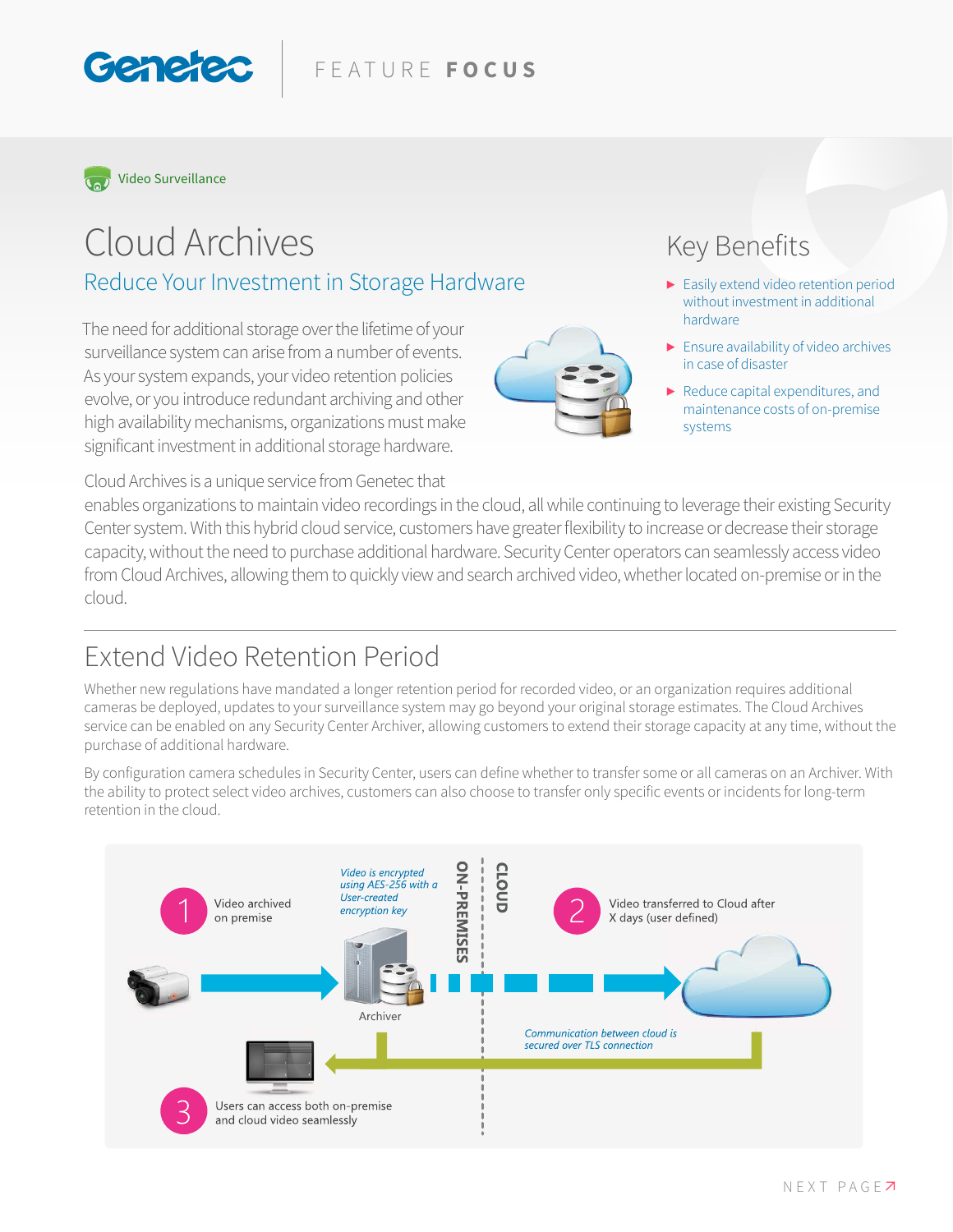#### FEATURE **FOCUS**



Genete

# Cloud Archives Reduce Your Investment in Storage Hardware

The need for additional storage over the lifetime of your surveillance system can arise from a number of events. As your system expands, your video retention policies evolve, or you introduce redundant archiving and other high availability mechanisms, organizations must make significant investment in additional storage hardware.

Cloud Archives is a unique service from Genetec that

### Key Benefits

- **▶** Easily extend video retention period without investment in additional hardware
- **▶** Ensure availability of video archives in case of disaster
- **▶** Reduce capital expenditures, and maintenance costs of on-premise systems

enables organizations to maintain video recordings in the cloud, all while continuing to leverage their existing Security Center system. With this hybrid cloud service, customers have greater flexibility to increase or decrease their storage capacity, without the need to purchase additional hardware. Security Center operators can seamlessly access video from Cloud Archives, allowing them to quickly view and search archived video, whether located on-premise or in the cloud.

#### Extend Video Retention Period

Whether new regulations have mandated a longer retention period for recorded video, or an organization requires additional cameras be deployed, updates to your surveillance system may go beyond your original storage estimates. The Cloud Archives service can be enabled on any Security Center Archiver, allowing customers to extend their storage capacity at any time, without the purchase of additional hardware.

By configuration camera schedules in Security Center, users can define whether to transfer some or all cameras on an Archiver. With the ability to protect select video archives, customers can also choose to transfer only specific events or incidents for long-term retention in the cloud.